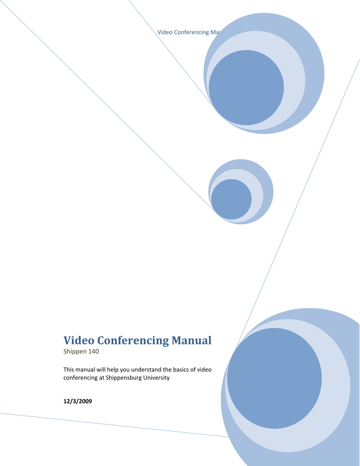Video Conferencing Mar

# **Video Conferencing Manual**

Shippen 140

This manual will help you understand the basics of video conferencing at Shippensburg University

**12/3/2009**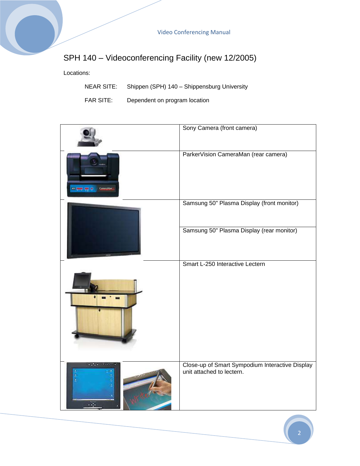# SPH 140 – Videoconferencing Facility (new 12/2005)

Locations:

- NEAR SITE: Shippen (SPH) 140 Shippensburg University
- FAR SITE: Dependent on program location

|                          | Sony Camera (front camera)                                                   |
|--------------------------|------------------------------------------------------------------------------|
| CO HMH HR H<br>CameraMan | ParkerVision CameraMan (rear camera)                                         |
|                          | Samsung 50" Plasma Display (front monitor)                                   |
|                          | Samsung 50" Plasma Display (rear monitor)                                    |
|                          | Smart L-250 Interactive Lectern                                              |
| $-400$                   | Close-up of Smart Sympodium Interactive Display<br>unit attached to lectern. |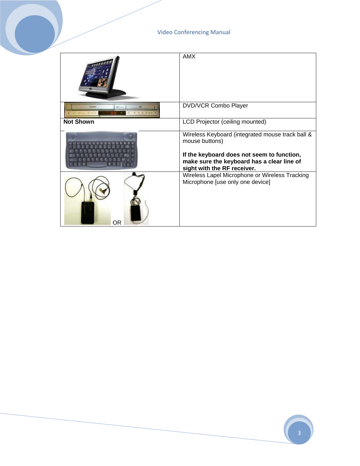|                  | <b>AMX</b>                                                                                                                                                                                    |
|------------------|-----------------------------------------------------------------------------------------------------------------------------------------------------------------------------------------------|
| MULL             | <b>DVD/VCR Combo Player</b>                                                                                                                                                                   |
| <b>Not Shown</b> | LCD Projector (ceiling mounted)                                                                                                                                                               |
|                  | Wireless Keyboard (integrated mouse track ball &<br>mouse buttons)<br>If the keyboard does not seem to function,<br>make sure the keyboard has a clear line of<br>sight with the RF receiver. |
| ΟR               | Wireless Lapel Microphone or Wireless Tracking<br>Microphone [use only one device]                                                                                                            |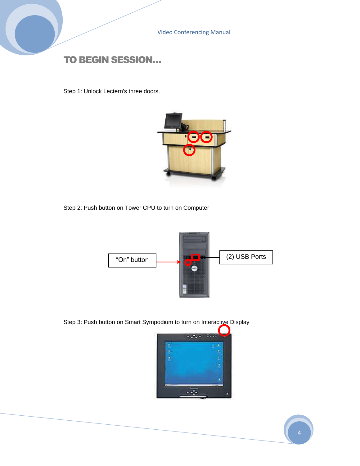### TO BEGIN SESSION…

Step 1: Unlock Lectern's three doors.



Step 2: Push button on Tower CPU to turn on Computer



Step 3: Push button on Smart Sympodium to turn on Interactive Display

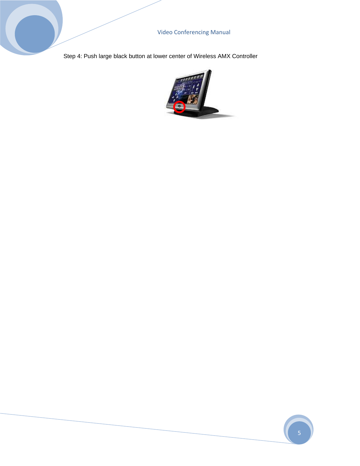Step 4: Push large black button at lower center of Wireless AMX Controller

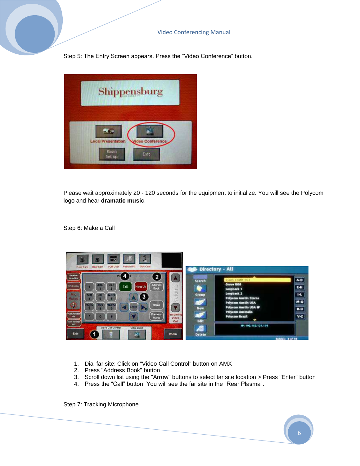Step 5: The Entry Screen appears. Press the "Video Conference" button.



Please wait approximately 20 - 120 seconds for the equipment to initialize. You will see the Polycom logo and hear **dramatic music**.

Step 6: Make a Call



- 1. Dial far site: Click on "Video Call Control" button on AMX
- 2. Press "Address Book" button
- 3. Scroll down list using the "Arrow" buttons to select far site location > Press "Enter" button
- 4. Press the "Call" button. You will see the far site in the "Rear Plasma".

Step 7: Tracking Microphone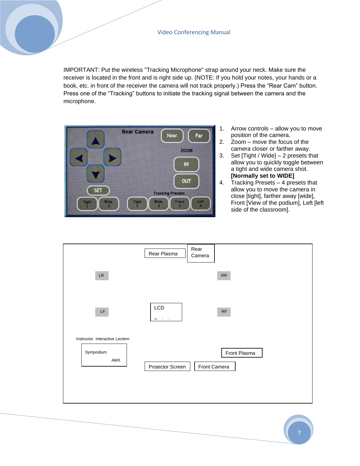IMPORTANT: Put the wireless "Tracking Microphone" strap around your neck. Make sure the receiver is located in the front and is right side up. (NOTE: If you hold your notes, your hands or a book, etc. in front of the receiver the camera will not track properly.) Press the "Rear Cam" button. Press one of the "Tracking" buttons to initiate the tracking signal between the camera and the microphone.



- 1. Arrow controls allow you to move position of the camera.
- 2. Zoom move the focus of the camera closer or farther away.
- 3. Set [Tight / Wide] 2 presets that allow you to quickly toggle between a tight and wide camera shot. **[Normally set to WIDE]**
- 4. Tracking Presets 4 presets that allow you to move the camera in close [tight], farther away [wide], Front [View of the podium], Left [left side of the classroom].

|                                                    | Rear Plasma             | Rear<br>Camera |              |
|----------------------------------------------------|-------------------------|----------------|--------------|
| $\ensuremath{\mathsf{LR}}$                         |                         |                | ${\sf RR}$   |
| $\mathsf{LF}\,$                                    | LCD<br>$\sim$<br>$\sim$ |                | $\sf RF$     |
| Instructor Interactive Lectern<br>Sympodium<br>AMX | Projector Screen        | Front Camera   | Front Plasma |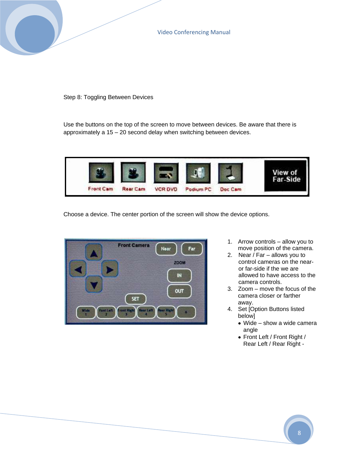Step 8: Toggling Between Devices

Use the buttons on the top of the screen to move between devices. Be aware that there is approximately a 15 – 20 second delay when switching between devices.



Choose a device. The center portion of the screen will show the device options.



- 1. Arrow controls allow you to move position of the camera.
- 2. Near / Far allows you to control cameras on the nearor far-side if the we are allowed to have access to the camera controls.
- 3. Zoom move the focus of the camera closer or farther away.
- 4. Set [Option Buttons listed below]
	- Wide show a wide camera angle
	- Front Left / Front Right / Rear Left / Rear Right -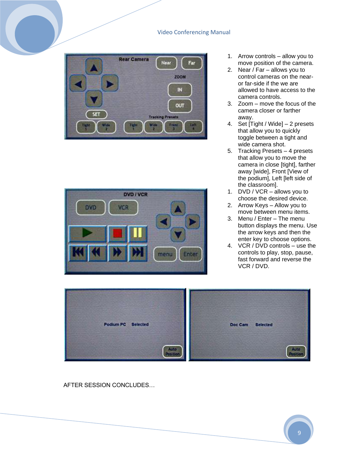



- 1. Arrow controls allow you to move position of the camera.
- 2. Near / Far allows you to control cameras on the nearor far-side if the we are allowed to have access to the camera controls.
- 3. Zoom move the focus of the camera closer or farther away.
- 4. Set [Tight / Wide] 2 presets that allow you to quickly toggle between a tight and wide camera shot.
- 5. Tracking Presets 4 presets that allow you to move the camera in close [tight], farther away [wide], Front [View of the podium], Left [left side of the classroom].
- 1. DVD / VCR allows you to choose the desired device.
- 2. Arrow Keys Allow you to move between menu items.
- 3. Menu / Enter The menu button displays the menu. Use the arrow keys and then the enter key to choose options.
- 4. VCR / DVD controls use the controls to play, stop, pause, fast forward and reverse the VCR / DVD.



AFTER SESSION CONCLUDES…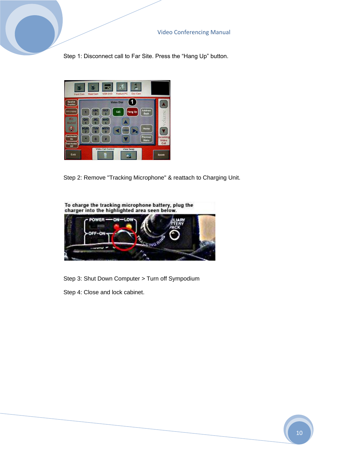Step 1: Disconnect call to Far Site. Press the "Hang Up" button.



Step 2: Remove "Tracking Microphone" & reattach to Charging Unit.



Step 3: Shut Down Computer > Turn off Sympodium

Step 4: Close and lock cabinet.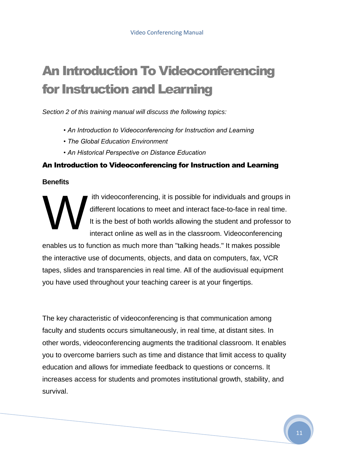# An Introduction To Videoconferencing for Instruction and Learning

*Section 2 of this training manual will discuss the following topics:*

- *An Introduction to Videoconferencing for Instruction and Learning*
- *The Global Education Environment*
- *An Historical Perspective on Distance Education*

#### An Introduction to Videoconferencing for Instruction and Learning

#### **Benefits**

ith videoconferencing, it is possible for individuals and groups in different locations to meet and interact face-to-face in real time. It is the best of both worlds allowing the student and professor to interact online as well as in the classroom. Videoconferencing W

enables us to function as much more than "talking heads." It makes possible the interactive use of documents, objects, and data on computers, fax, VCR tapes, slides and transparencies in real time. All of the audiovisual equipment you have used throughout your teaching career is at your fingertips.

The key characteristic of videoconferencing is that communication among faculty and students occurs simultaneously, in real time, at distant sites. In other words, videoconferencing augments the traditional classroom. It enables you to overcome barriers such as time and distance that limit access to quality education and allows for immediate feedback to questions or concerns. It increases access for students and promotes institutional growth, stability, and survival.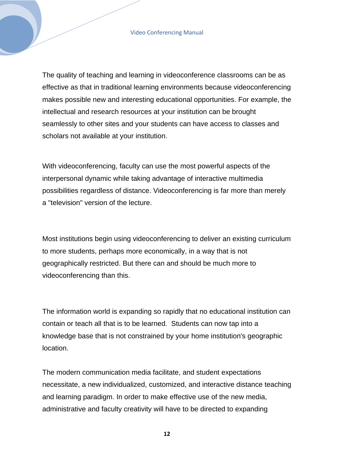The quality of teaching and learning in videoconference classrooms can be as effective as that in traditional learning environments because videoconferencing makes possible new and interesting educational opportunities. For example, the intellectual and research resources at your institution can be brought seamlessly to other sites and your students can have access to classes and scholars not available at your institution.

With videoconferencing, faculty can use the most powerful aspects of the interpersonal dynamic while taking advantage of interactive multimedia possibilities regardless of distance. Videoconferencing is far more than merely a "television" version of the lecture.

Most institutions begin using videoconferencing to deliver an existing curriculum to more students, perhaps more economically, in a way that is not geographically restricted. But there can and should be much more to videoconferencing than this.

The information world is expanding so rapidly that no educational institution can contain or teach all that is to be learned. Students can now tap into a knowledge base that is not constrained by your home institution's geographic location.

The modern communication media facilitate, and student expectations necessitate, a new individualized, customized, and interactive distance teaching and learning paradigm. In order to make effective use of the new media, administrative and faculty creativity will have to be directed to expanding

**12**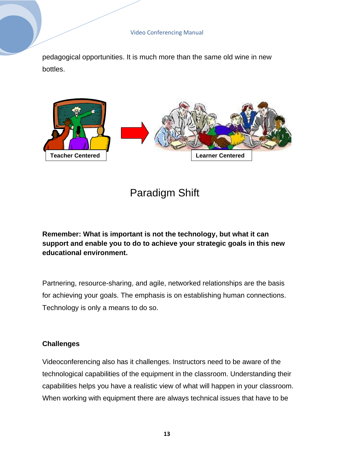pedagogical opportunities. It is much more than the same old wine in new bottles.



# Paradigm Shift

**Remember: What is important is not the technology, but what it can support and enable you to do to achieve your strategic goals in this new educational environment.**

Partnering, resource-sharing, and agile, networked relationships are the basis for achieving your goals. The emphasis is on establishing human connections. Technology is only a means to do so.

#### **Challenges**

Videoconferencing also has it challenges. Instructors need to be aware of the technological capabilities of the equipment in the classroom. Understanding their capabilities helps you have a realistic view of what will happen in your classroom. When working with equipment there are always technical issues that have to be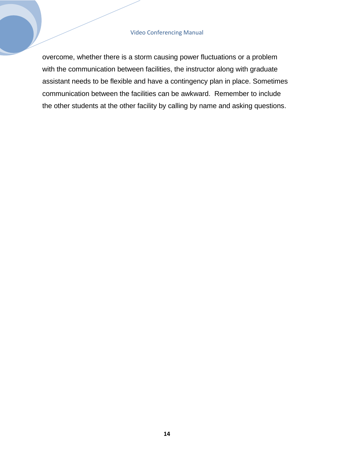overcome, whether there is a storm causing power fluctuations or a problem with the communication between facilities, the instructor along with graduate assistant needs to be flexible and have a contingency plan in place. Sometimes communication between the facilities can be awkward. Remember to include the other students at the other facility by calling by name and asking questions.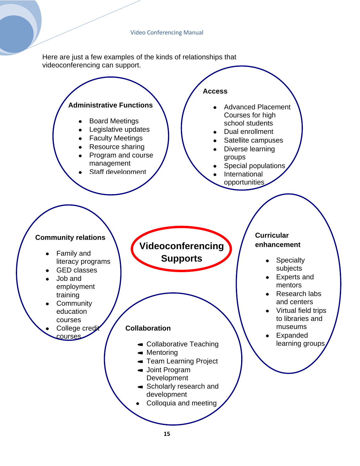Here are just a few examples of the kinds of relationships that videoconferencing can support.

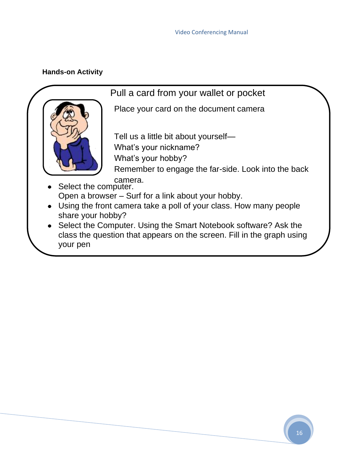#### **Hands-on Activity**



# Pull a card from your wallet or pocket

Place your card on the document camera

Tell us a little bit about yourself— What's your nickname? What's your hobby?

Remember to engage the far-side. Look into the back camera.

- Select the computer. Open a browser – Surf for a link about your hobby.
- Using the front camera take a poll of your class. How many people share your hobby?
- Select the Computer. Using the Smart Notebook software? Ask the class the question that appears on the screen. Fill in the graph using your pen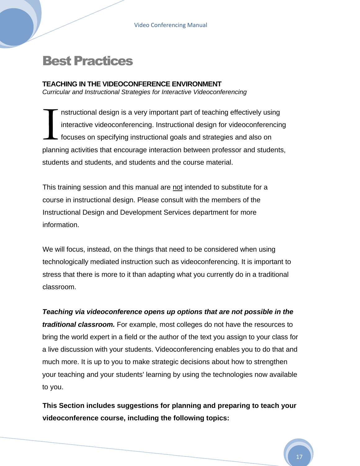# Best Practices

#### **TEACHING IN THE VIDEOCONFERENCE ENVIRONMENT** *Curricular and Instructional Strategies for Interactive Videoconferencing*

nstructional design is a very important part of teaching effectively using interactive videoconferencing. Instructional design for videoconferencing focuses on specifying instructional goals and strategies and also on planning activities that encourage interaction between professor and students, students and students, and students and the course material.  $\sum_{\text{planon}}$ 

This training session and this manual are not intended to substitute for a course in instructional design. Please consult with the members of the Instructional Design and Development Services department for more information.

We will focus, instead, on the things that need to be considered when using technologically mediated instruction such as videoconferencing. It is important to stress that there is more to it than adapting what you currently do in a traditional classroom.

*Teaching via videoconference opens up options that are not possible in the traditional classroom.* For example, most colleges do not have the resources to bring the world expert in a field or the author of the text you assign to your class for a live discussion with your students. Videoconferencing enables you to do that and much more. It is up to you to make strategic decisions about how to strengthen your teaching and your students' learning by using the technologies now available to you.

**This Section includes suggestions for planning and preparing to teach your videoconference course, including the following topics:**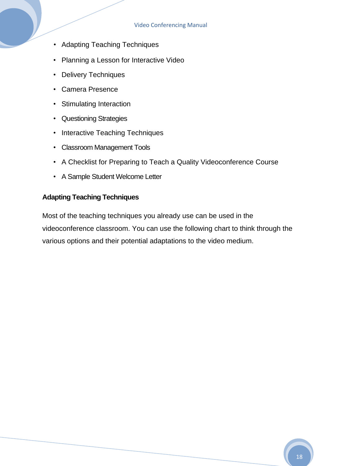- Adapting Teaching Techniques
- Planning a Lesson for Interactive Video
- Delivery Techniques
- Camera Presence
- Stimulating Interaction
- Questioning Strategies
- Interactive Teaching Techniques
- Classroom Management Tools
- A Checklist for Preparing to Teach a Quality Videoconference Course
- A Sample Student Welcome Letter

#### **Adapting Teaching Techniques**

Most of the teaching techniques you already use can be used in the videoconference classroom. You can use the following chart to think through the various options and their potential adaptations to the video medium.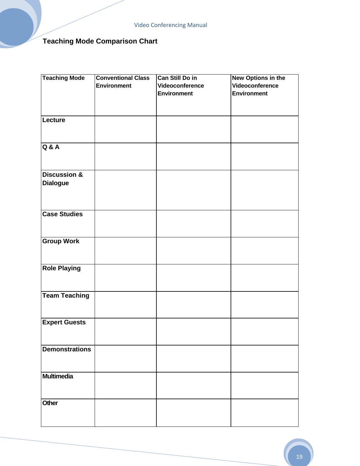# **Teaching Mode Comparison Chart**

| <b>Teaching Mode</b>    | <b>Conventional Class</b> | <b>Can Still Do in</b> | <b>New Options in the</b> |
|-------------------------|---------------------------|------------------------|---------------------------|
|                         | <b>Environment</b>        | Videoconference        | Videoconference           |
|                         |                           | <b>Environment</b>     | <b>Environment</b>        |
|                         |                           |                        |                           |
|                         |                           |                        |                           |
| Lecture                 |                           |                        |                           |
|                         |                           |                        |                           |
|                         |                           |                        |                           |
| <b>Q &amp; A</b>        |                           |                        |                           |
|                         |                           |                        |                           |
|                         |                           |                        |                           |
|                         |                           |                        |                           |
| <b>Discussion &amp;</b> |                           |                        |                           |
| <b>Dialogue</b>         |                           |                        |                           |
|                         |                           |                        |                           |
|                         |                           |                        |                           |
| <b>Case Studies</b>     |                           |                        |                           |
|                         |                           |                        |                           |
|                         |                           |                        |                           |
| <b>Group Work</b>       |                           |                        |                           |
|                         |                           |                        |                           |
|                         |                           |                        |                           |
|                         |                           |                        |                           |
| <b>Role Playing</b>     |                           |                        |                           |
|                         |                           |                        |                           |
|                         |                           |                        |                           |
| <b>Team Teaching</b>    |                           |                        |                           |
|                         |                           |                        |                           |
|                         |                           |                        |                           |
| <b>Expert Guests</b>    |                           |                        |                           |
|                         |                           |                        |                           |
|                         |                           |                        |                           |
| <b>Demonstrations</b>   |                           |                        |                           |
|                         |                           |                        |                           |
|                         |                           |                        |                           |
| <b>Multimedia</b>       |                           |                        |                           |
|                         |                           |                        |                           |
|                         |                           |                        |                           |
| Other                   |                           |                        |                           |
|                         |                           |                        |                           |
|                         |                           |                        |                           |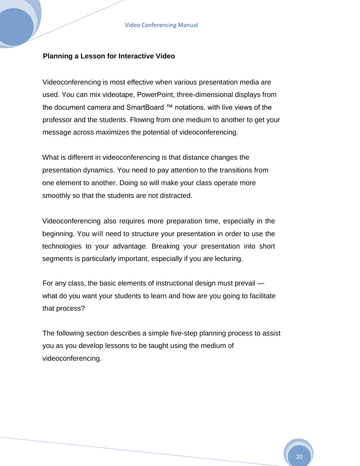#### **Planning a Lesson for Interactive Video**

Videoconferencing is most effective when various presentation media are used. You can mix videotape, PowerPoint, three-dimensional displays from the document camera and SmartBoard ™ notations, with live views of the professor and the students. Flowing from one medium to another to get your message across maximizes the potential of videoconferencing.

What is different in videoconferencing is that distance changes the presentation dynamics. You need to pay attention to the transitions from one element to another. Doing so will make your class operate more smoothly so that the students are not distracted.

Videoconferencing also requires more preparation time, especially in the beginning. You will need to structure your presentation in order to use the technologies to your advantage. Breaking your presentation into short segments is particularly important, especially if you are lecturing.

For any class, the basic elements of instructional design must prevail what do you want your students to learn and how are you going to facilitate that process?

The following section describes a simple five-step planning process to assist you as you develop lessons to be taught using the medium of videoconferencing.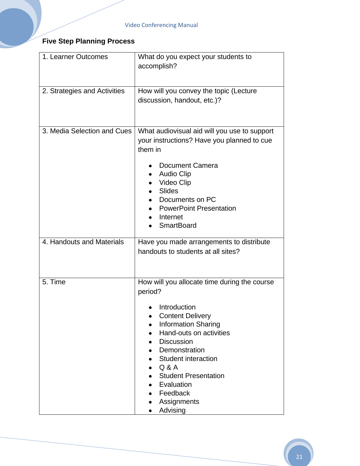# **Five Step Planning Process**

| 1. Learner Outcomes          | What do you expect your students to<br>accomplish?                                                                                                                                                                                                                                                                           |  |
|------------------------------|------------------------------------------------------------------------------------------------------------------------------------------------------------------------------------------------------------------------------------------------------------------------------------------------------------------------------|--|
| 2. Strategies and Activities | How will you convey the topic (Lecture<br>discussion, handout, etc.)?                                                                                                                                                                                                                                                        |  |
| 3. Media Selection and Cues  | What audiovisual aid will you use to support<br>your instructions? Have you planned to cue<br>them in<br>Document Camera<br><b>Audio Clip</b><br>Video Clip<br><b>Slides</b><br>Documents on PC<br><b>PowerPoint Presentation</b><br>Internet<br><b>SmartBoard</b>                                                           |  |
| 4. Handouts and Materials    | Have you made arrangements to distribute<br>handouts to students at all sites?                                                                                                                                                                                                                                               |  |
| 5. Time                      | How will you allocate time during the course<br>period?<br>Introduction<br><b>Content Delivery</b><br><b>Information Sharing</b><br>Hand-outs on activities<br><b>Discussion</b><br>Demonstration<br><b>Student interaction</b><br>Q & A<br><b>Student Presentation</b><br>Evaluation<br>Feedback<br>Assignments<br>Advising |  |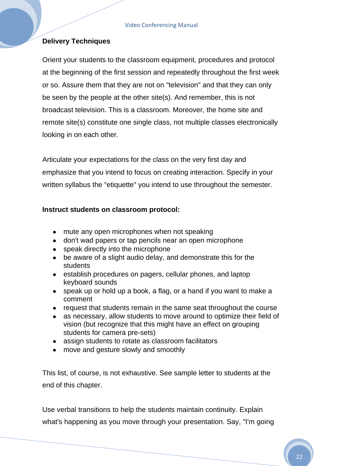#### **Delivery Techniques**

Orient your students to the classroom equipment, procedures and protocol at the beginning of the first session and repeatedly throughout the first week or so. Assure them that they are not on "television" and that they can only be seen by the people at the other site(s). And remember, this is not broadcast television. This is a classroom. Moreover, the home site and remote site(s) constitute one single class, not multiple classes electronically looking in on each other.

Articulate your expectations for the class on the very first day and emphasize that you intend to focus on creating interaction. Specify in your written syllabus the "etiquette" you intend to use throughout the semester.

#### **Instruct students on classroom protocol:**

- mute any open microphones when not speaking
- don't wad papers or tap pencils near an open microphone
- speak directly into the microphone
- be aware of a slight audio delay, and demonstrate this for the students
- establish procedures on pagers, cellular phones, and laptop keyboard sounds
- speak up or hold up a book, a flag, or a hand if you want to make a comment
- request that students remain in the same seat throughout the course
- as necessary, allow students to move around to optimize their field of vision (but recognize that this might have an effect on grouping students for camera pre-sets)
- assign students to rotate as classroom facilitators
- move and gesture slowly and smoothly

This list, of course, is not exhaustive. See sample letter to students at the end of this chapter.

Use verbal transitions to help the students maintain continuity. Explain what's happening as you move through your presentation. Say, "I'm going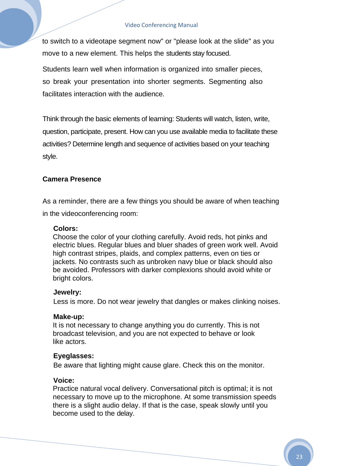to switch to a videotape segment now" or "please look at the slide" as you move to a new element. This helps the students stay focused.

Students learn well when information is organized into smaller pieces, so break your presentation into shorter segments. Segmenting also facilitates interaction with the audience.

Think through the basic elements of learning: Students will watch, listen, write, question, participate, present. How can you use available media to facilitate these activities? Determine length and sequence of activities based on your teaching style.

#### **Camera Presence**

As a reminder, there are a few things you should be aware of when teaching in the videoconferencing room:

#### **Colors:**

Choose the color of your clothing carefully. Avoid reds, hot pinks and electric blues. Regular blues and bluer shades of green work well. Avoid high contrast stripes, plaids, and complex patterns, even on ties or jackets. No contrasts such as unbroken navy blue or black should also be avoided. Professors with darker complexions should avoid white or bright colors.

#### **Jewelry:**

Less is more. Do not wear jewelry that dangles or makes clinking noises.

#### **Make-up:**

It is not necessary to change anything you do currently. This is not broadcast television, and you are not expected to behave or look like actors.

#### **Eyeglasses:**

Be aware that lighting might cause glare. Check this on the monitor.

#### **Voice:**

Practice natural vocal delivery. Conversational pitch is optimal; it is not necessary to move up to the microphone. At some transmission speeds there is a slight audio delay. If that is the case, speak slowly until you become used to the delay.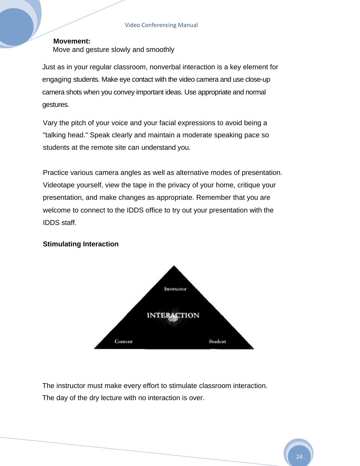#### **Movement:**  Move and gesture slowly and smoothly

Just as in your regular classroom, nonverbal interaction is a key element for engaging students. Make eye contact with the video camera and use close-up camera shots when you convey important ideas. Use appropriate and normal gestures.

Vary the pitch of your voice and your facial expressions to avoid being a "talking head." Speak clearly and maintain a moderate speaking pace so students at the remote site can understand you.

Practice various camera angles as well as alternative modes of presentation. Videotape yourself, view the tape in the privacy of your home, critique your presentation, and make changes as appropriate. Remember that you are welcome to connect to the IDDS office to try out your presentation with the IDDS staff.

#### **Stimulating Interaction**



The instructor must make every effort to stimulate classroom interaction. The day of the dry lecture with no interaction is over.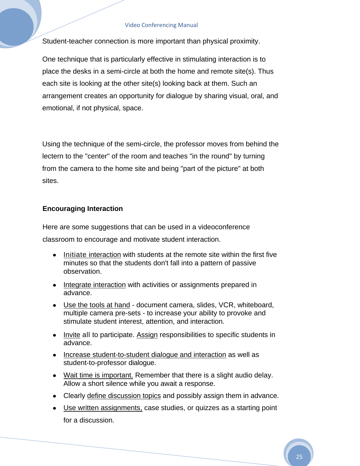Student-teacher connection is more important than physical proximity.

One technique that is particularly effective in stimulating interaction is to place the desks in a semi-circle at both the home and remote site(s). Thus each site is looking at the other site(s) looking back at them. Such an arrangement creates an opportunity for dialogue by sharing visual, oral, and emotional, if not physical, space.

Using the technique of the semi-circle, the professor moves from behind the lectern to the "center" of the room and teaches "in the round" by turning from the camera to the home site and being "part of the picture" at both sites.

#### **Encouraging Interaction**

Here are some suggestions that can be used in a videoconference classroom to encourage and motivate student interaction.

- Initiate interaction with students at the remote site within the first five minutes so that the students don't fall into a pattern of passive observation.
- Integrate interaction with activities or assignments prepared in advance.
- Use the tools at hand document camera, slides, VCR, whiteboard, multiple camera pre-sets - to increase your ability to provoke and stimulate student interest, attention, and interaction.
- Invite all to participate. Assign responsibilities to specific students in advance.
- Increase student-to-student dialogue and interaction as well as student-to-professor dialogue.
- Wait time is important. Remember that there is a slight audio delay. Allow a short silence while you await a response.
- Clearly define discussion topics and possibly assign them in advance.
- Use written assignments, case studies, or quizzes as a starting point for a discussion.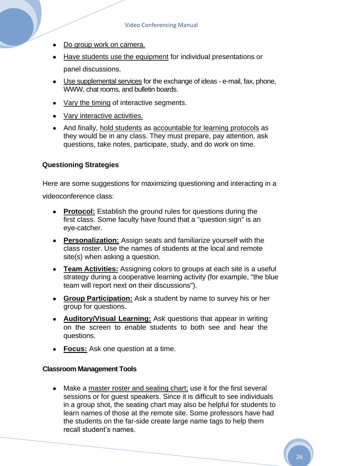- Do group work on camera.
- Have students use the equipment for individual presentations or panel discussions.
- Use supplemental services for the exchange of ideas e-mail, fax, phone, WWW, chat rooms, and bulletin boards.
- Vary the timing of interactive segments.
- Vary interactive activities.
- And finally, hold students as accountable for learning protocols as they would be in any class. They must prepare, pay attention, ask questions, take notes, participate, study, and do work on time.

#### **Questioning Strategies**

Here are some suggestions for maximizing questioning and interacting in a videoconference class:

- **Protocol:** Establish the ground rules for questions during the first class. Some faculty have found that a "question sign" is an eye-catcher.
- **Personalization:** Assign seats and familiarize yourself with the class roster. Use the names of students at the local and remote site(s) when asking a question.
- **Team Activities:** Assigning colors to groups at each site is a useful strategy during a cooperative learning activity (for example, "the blue team will report next on their discussions").
- **Group Participation:** Ask a student by name to survey his or her group for questions.
- **Auditory/Visual Learning:** Ask questions that appear in writing on the screen to enable students to both see and hear the questions.
- **Focus:** Ask one question at a time.

#### **Classroom Management Tools**

Make a master roster and seating chart; use it for the first several sessions or for guest speakers. Since it is difficult to see individuals in a group shot, the seating chart may also be helpful for students to learn names of those at the remote site. Some professors have had the students on the far-side create large name tags to help them recall student's names.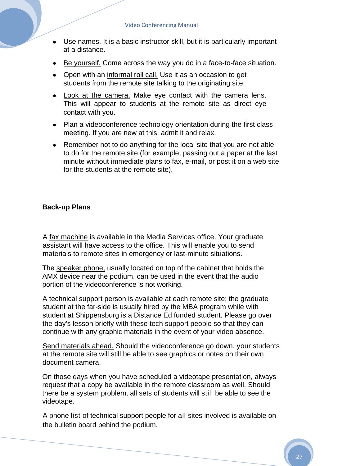- Use names. It is a basic instructor skill, but it is particularly important at a distance.
- Be yourself. Come across the way you do in a face-to-face situation.
- Open with an informal roll call. Use it as an occasion to get students from the remote site talking to the originating site.
- Look at the camera. Make eye contact with the camera lens. This will appear to students at the remote site as direct eye contact with you.
- Plan a videoconference technology orientation during the first class meeting. If you are new at this, admit it and relax.
- Remember not to do anything for the local site that you are not able to do for the remote site (for example, passing out a paper at the last minute without immediate plans to fax, e-mail, or post it on a web site for the students at the remote site).

#### **Back-up Plans**

A fax machine is available in the Media Services office. Your graduate assistant will have access to the office. This will enable you to send materials to remote sites in emergency or last-minute situations.

The speaker phone, usually located on top of the cabinet that holds the AMX device near the podium, can be used in the event that the audio portion of the videoconference is not working.

A technical support person is available at each remote site; the graduate student at the far-side is usually hired by the MBA program while with student at Shippensburg is a Distance Ed funded student. Please go over the day's lesson briefly with these tech support people so that they can continue with any graphic materials in the event of your video absence.

Send materials ahead. Should the videoconference go down, your students at the remote site will still be able to see graphics or notes on their own document camera.

On those days when you have scheduled a videotape presentation, always request that a copy be available in the remote classroom as well. Should there be a system problem, all sets of students will still be able to see the videotape.

A phone list of technical support people for all sites involved is available on the bulletin board behind the podium.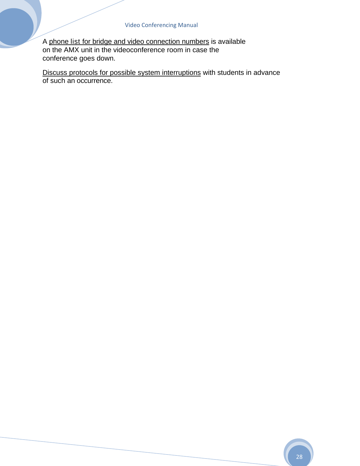A phone list for bridge and video connection numbers is available on the AMX unit in the videoconference room in case the conference goes down.

Discuss protocols for possible system interruptions with students in advance of such an occurrence.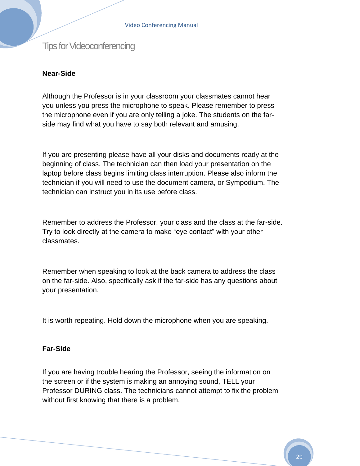Tips for Videoconferencing

#### **Near-Side**

Although the Professor is in your classroom your classmates cannot hear you unless you press the microphone to speak. Please remember to press the microphone even if you are only telling a joke. The students on the farside may find what you have to say both relevant and amusing.

If you are presenting please have all your disks and documents ready at the beginning of class. The technician can then load your presentation on the laptop before class begins limiting class interruption. Please also inform the technician if you will need to use the document camera, or Sympodium. The technician can instruct you in its use before class.

Remember to address the Professor, your class and the class at the far-side. Try to look directly at the camera to make "eye contact" with your other classmates.

Remember when speaking to look at the back camera to address the class on the far-side. Also, specifically ask if the far-side has any questions about your presentation.

It is worth repeating. Hold down the microphone when you are speaking.

#### **Far-Side**

If you are having trouble hearing the Professor, seeing the information on the screen or if the system is making an annoying sound, TELL your Professor DURING class. The technicians cannot attempt to fix the problem without first knowing that there is a problem.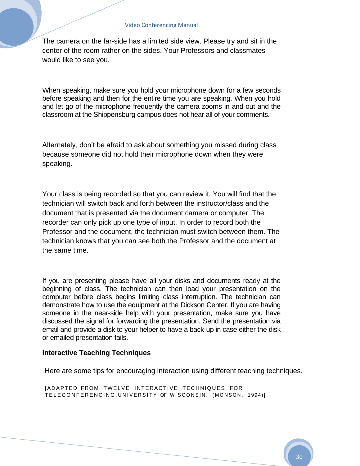The camera on the far-side has a limited side view. Please try and sit in the center of the room rather on the sides. Your Professors and classmates would like to see you.

When speaking, make sure you hold your microphone down for a few seconds before speaking and then for the entire time you are speaking. When you hold and let go of the microphone frequently the camera zooms in and out and the classroom at the Shippensburg campus does not hear all of your comments.

Alternately, don't be afraid to ask about something you missed during class because someone did not hold their microphone down when they were speaking.

Your class is being recorded so that you can review it. You will find that the technician will switch back and forth between the instructor/class and the document that is presented via the document camera or computer. The recorder can only pick up one type of input. In order to record both the Professor and the document, the technician must switch between them. The technician knows that you can see both the Professor and the document at the same time.

If you are presenting please have all your disks and documents ready at the beginning of class. The technician can then load your presentation on the computer before class begins limiting class interruption. The technician can demonstrate how to use the equipment at the Dickson Center. If you are having someone in the near-side help with your presentation, make sure you have discussed the signal for forwarding the presentation. Send the presentation via email and provide a disk to your helper to have a back-up in case either the disk or emailed presentation fails.

#### **Interactive Teaching Techniques**

Here are some tips for encouraging interaction using different teaching techniques.

[ADAPTED FROM TWELVE INTERACTIVE TECHNIQUES FOR TELECONFERENCING, UNIVERSITY OF WISCONSIN, (MONSON, 1994)]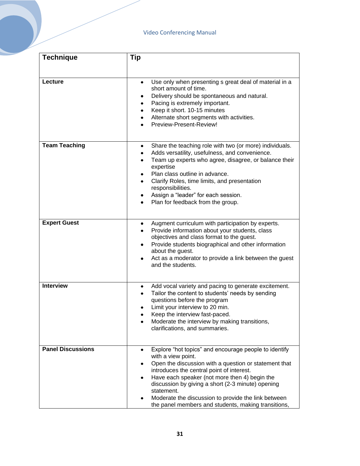| <b>Technique</b>         | Tip                                                                                                                                                                                                                                                                                                                                                                                                                                   |
|--------------------------|---------------------------------------------------------------------------------------------------------------------------------------------------------------------------------------------------------------------------------------------------------------------------------------------------------------------------------------------------------------------------------------------------------------------------------------|
|                          |                                                                                                                                                                                                                                                                                                                                                                                                                                       |
| Lecture                  | Use only when presenting s great deal of material in a<br>$\bullet$<br>short amount of time.<br>Delivery should be spontaneous and natural.<br>Pacing is extremely important.<br>٠<br>Keep it short. 10-15 minutes<br>$\bullet$<br>Alternate short segments with activities.<br>Preview-Present-Review!                                                                                                                               |
| <b>Team Teaching</b>     | Share the teaching role with two (or more) individuals.<br>٠<br>Adds versatility, usefulness, and convenience.<br>٠<br>Team up experts who agree, disagree, or balance their<br>٠<br>expertise<br>Plan class outline in advance.<br>٠<br>Clarify Roles, time limits, and presentation<br>responsibilities.<br>Assign a "leader" for each session.<br>Plan for feedback from the group.                                                |
| <b>Expert Guest</b>      | Augment curriculum with participation by experts.<br>٠<br>Provide information about your students, class<br>objectives and class format to the guest.<br>Provide students biographical and other information<br>٠<br>about the guest.<br>Act as a moderator to provide a link between the guest<br>and the students.                                                                                                                  |
| <b>Interview</b>         | Add vocal variety and pacing to generate excitement.<br>٠<br>Tailor the content to students' needs by sending<br>questions before the program<br>Limit your interview to 20 min.<br>Keep the interview fast-paced.<br>Moderate the interview by making transitions,<br>clarifications, and summaries.                                                                                                                                 |
| <b>Panel Discussions</b> | Explore "hot topics" and encourage people to identify<br>$\bullet$<br>with a view point.<br>Open the discussion with a question or statement that<br>introduces the central point of interest.<br>Have each speaker (not more then 4) begin the<br>٠<br>discussion by giving a short (2-3 minute) opening<br>statement.<br>Moderate the discussion to provide the link between<br>the panel members and students, making transitions, |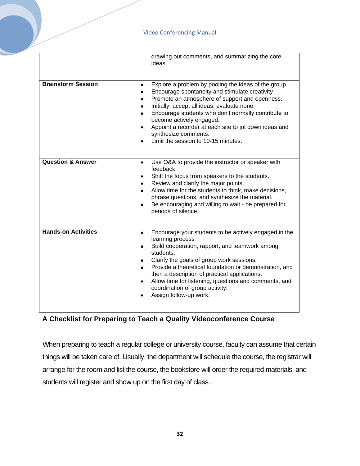|                              | drawing out comments, and summarizing the core<br>ideas.                                                                                                                                                                                                                                                                                                                                                                                  |
|------------------------------|-------------------------------------------------------------------------------------------------------------------------------------------------------------------------------------------------------------------------------------------------------------------------------------------------------------------------------------------------------------------------------------------------------------------------------------------|
| <b>Brainstorm Session</b>    | Explore a problem by pooling the ideas of the group.<br>$\bullet$<br>Encourage spontaneity and stimulate creativity<br>Promote an atmosphere of support and openness.<br>Initially, accept all ideas, evaluate none.<br>٠<br>Encourage students who don't normally contribute to<br>become actively engaged.<br>Appoint a recorder at each site to jot down ideas and<br>٠<br>synthesize comments.<br>Limit the session to 10-15 minutes. |
| <b>Question &amp; Answer</b> | Use Q&A to provide the instructor or speaker with<br>$\bullet$<br>feedback.<br>Shift the focus from speakers to the students.<br>٠<br>Review and clarify the major points.<br>٠<br>Allow time for the students to think, make decisions,<br>$\bullet$<br>phrase questions, and synthesize the material.<br>Be encouraging and willing to wait - be prepared for<br>periods of silence.                                                    |
| <b>Hands-on Activities</b>   | Encourage your students to be actively engaged in the<br>٠<br>learning process<br>Build cooperation, rapport, and teamwork among<br>٠<br>students.<br>Clarify the goals of group work sessions.<br>Provide a theoretical foundation or demonstration, and<br>then a description of practical applications.<br>Allow time for listening, questions and comments, and<br>٠<br>coordination of group activity.<br>Assign follow-up work.     |

#### **A Checklist for Preparing to Teach a Quality Videoconference Course**

When preparing to teach a regular college or university course, faculty can assume that certain things will be taken care of. Usually, the department will schedule the course, the registrar will arrange for the room and list the course, the bookstore will order the required materials, and students will register and show up on the first day of class.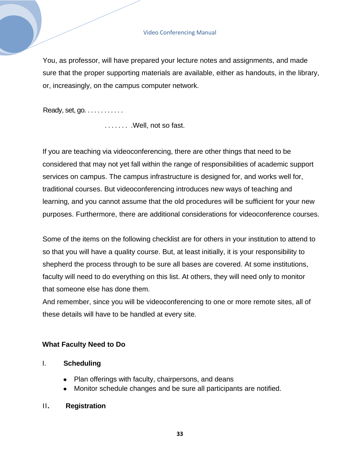You, as professor, will have prepared your lecture notes and assignments, and made sure that the proper supporting materials are available, either as handouts, in the library, or, increasingly, on the campus computer network.

Ready, set, go. . . . . . . . . . . .

. . . . . . . . Well, not so fast.

If you are teaching via videoconferencing, there are other things that need to be considered that may not yet fall within the range of responsibilities of academic support services on campus. The campus infrastructure is designed for, and works well for, traditional courses. But videoconferencing introduces new ways of teaching and learning, and you cannot assume that the old procedures will be sufficient for your new purposes. Furthermore, there are additional considerations for videoconference courses.

Some of the items on the following checklist are for others in your institution to attend to so that you will have a quality course. But, at least initially, it is your responsibility to shepherd the process through to be sure all bases are covered. At some institutions, faculty will need to do everything on this list. At others, they will need only to monitor that someone else has done them.

And remember, since you will be videoconferencing to one or more remote sites, all of these details will have to be handled at every site.

#### **What Faculty Need to Do**

#### I. **Scheduling**

- Plan offerings with faculty, chairpersons, and deans
- Monitor schedule changes and be sure all participants are notified.

#### II**. Registration**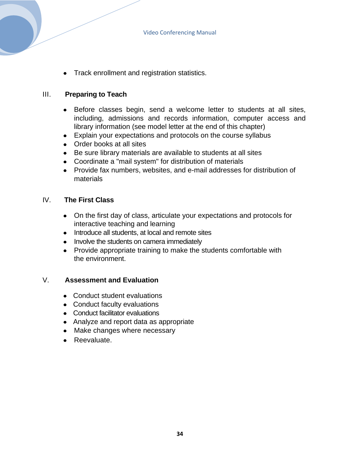• Track enrollment and registration statistics.

#### III. **Preparing to Teach**

- Before classes begin, send a welcome letter to students at all sites, including, admissions and records information, computer access and library information (see model letter at the end of this chapter)
- Explain your expectations and protocols on the course syllabus
- Order books at all sites
- Be sure library materials are available to students at all sites
- Coordinate a "mail system" for distribution of materials
- Provide fax numbers, websites, and e-mail addresses for distribution of materials

#### IV. **The First Class**

- On the first day of class, articulate your expectations and protocols for interactive teaching and learning
- Introduce all students, at local and remote sites
- Involve the students on camera immediately
- Provide appropriate training to make the students comfortable with the environment.

#### V. **Assessment and Evaluation**

- Conduct student evaluations
- Conduct faculty evaluations
- Conduct facilitator evaluations
- Analyze and report data as appropriate
- Make changes where necessary
- Reevaluate.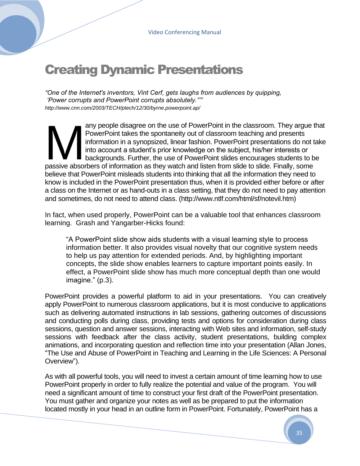# Creating Dynamic Presentations

*"One of the Internet's inventors, Vint Cerf, gets laughs from audiences by quipping, "Power corrupts and PowerPoint corrupts absolutely.""" http://www.cnn.com/2003/TECH/ptech/12/30/byrne.powerpoint.ap/*

any people disagree on the use of PowerPoint in the classroom. They argue that PowerPoint takes the spontaneity out of classroom teaching and presents information in a synopsized, linear fashion. PowerPoint presentations do not take into account a student's prior knowledge on the subject, his/her interests or backgrounds. Further, the use of PowerPoint slides encourages students to be any people disagree on the use of PowerPoint in the classroom. They argue the PowerPoint takes the spontaneity out of classroom teaching and presents information in a synopsized, linear fashion. PowerPoint presentations do believe that PowerPoint misleads students into thinking that all the information they need to know is included in the PowerPoint presentation thus, when it is provided either before or after a class on the Internet or as hand-outs in a class setting, that they do not need to pay attention and sometimes, do not need to attend class. (http://www.ntlf.com/html/sf/notevil.htm)

In fact, when used properly, PowerPoint can be a valuable tool that enhances classroom learning. Grash and Yangarber-Hicks found:

―A PowerPoint slide show aids students with a visual learning style to process information better. It also provides visual novelty that our cognitive system needs to help us pay attention for extended periods. And, by highlighting important concepts, the slide show enables learners to capture important points easily. In effect, a PowerPoint slide show has much more conceptual depth than one would  $image." (p.3).$ 

PowerPoint provides a powerful platform to aid in your presentations. You can creatively apply PowerPoint to numerous classroom applications, but it is most conducive to applications such as delivering automated instructions in lab sessions, gathering outcomes of discussions and conducting polls during class, providing tests and options for consideration during class sessions, question and answer sessions, interacting with Web sites and information, self-study sessions with feedback after the class activity, student presentations, building complex animations, and incorporating question and reflection time into your presentation (Allan Jones, ―The Use and Abuse of PowerPoint in Teaching and Learning in the Life Sciences: A Personal Overview").

As with all powerful tools, you will need to invest a certain amount of time learning how to use PowerPoint properly in order to fully realize the potential and value of the program. You will need a significant amount of time to construct your first draft of the PowerPoint presentation. You must gather and organize your notes as well as be prepared to put the information located mostly in your head in an outline form in PowerPoint. Fortunately, PowerPoint has a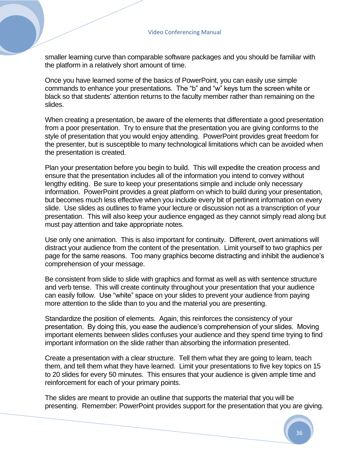smaller learning curve than comparable software packages and you should be familiar with the platform in a relatively short amount of time.

Once you have learned some of the basics of PowerPoint, you can easily use simple commands to enhance your presentations. The "b" and "w" keys turn the screen white or black so that students' attention returns to the faculty member rather than remaining on the slides.

When creating a presentation, be aware of the elements that differentiate a good presentation from a poor presentation. Try to ensure that the presentation you are giving conforms to the style of presentation that you would enjoy attending. PowerPoint provides great freedom for the presenter, but is susceptible to many technological limitations which can be avoided when the presentation is created.

Plan your presentation before you begin to build. This will expedite the creation process and ensure that the presentation includes all of the information you intend to convey without lengthy editing. Be sure to keep your presentations simple and include only necessary information. PowerPoint provides a great platform on which to build during your presentation, but becomes much less effective when you include every bit of pertinent information on every slide. Use slides as outlines to frame your lecture or discussion not as a transcription of your presentation. This will also keep your audience engaged as they cannot simply read along but must pay attention and take appropriate notes.

Use only one animation. This is also important for continuity. Different, overt animations will distract your audience from the content of the presentation. Limit yourself to two graphics per page for the same reasons. Too many graphics become distracting and inhibit the audience's comprehension of your message.

Be consistent from slide to slide with graphics and format as well as with sentence structure and verb tense. This will create continuity throughout your presentation that your audience can easily follow. Use "white" space on your slides to prevent your audience from paying more attention to the slide than to you and the material you are presenting.

Standardize the position of elements. Again, this reinforces the consistency of your presentation. By doing this, you ease the audience's comprehension of your slides. Moving important elements between slides confuses your audience and they spend time trying to find important information on the slide rather than absorbing the information presented.

Create a presentation with a clear structure. Tell them what they are going to learn, teach them, and tell them what they have learned. Limit your presentations to five key topics on 15 to 20 slides for every 50 minutes. This ensures that your audience is given ample time and reinforcement for each of your primary points.

The slides are meant to provide an outline that supports the material that you will be presenting. Remember: PowerPoint provides support for the presentation that you are giving.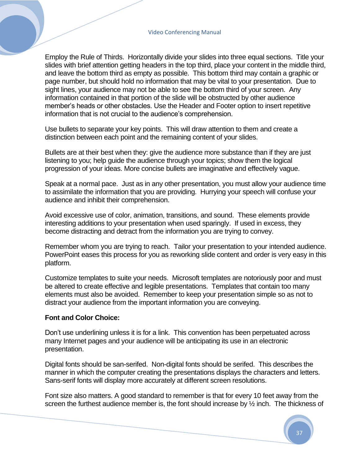Employ the Rule of Thirds. Horizontally divide your slides into three equal sections. Title your slides with brief attention getting headers in the top third, place your content in the middle third, and leave the bottom third as empty as possible. This bottom third may contain a graphic or page number, but should hold no information that may be vital to your presentation. Due to sight lines, your audience may not be able to see the bottom third of your screen. Any information contained in that portion of the slide will be obstructed by other audience member's heads or other obstacles. Use the Header and Footer option to insert repetitive information that is not crucial to the audience's comprehension.

Use bullets to separate your key points. This will draw attention to them and create a distinction between each point and the remaining content of your slides.

Bullets are at their best when they: give the audience more substance than if they are just listening to you; help guide the audience through your topics; show them the logical progression of your ideas. More concise bullets are imaginative and effectively vague.

Speak at a normal pace. Just as in any other presentation, you must allow your audience time to assimilate the information that you are providing. Hurrying your speech will confuse your audience and inhibit their comprehension.

Avoid excessive use of color, animation, transitions, and sound. These elements provide interesting additions to your presentation when used sparingly. If used in excess, they become distracting and detract from the information you are trying to convey.

Remember whom you are trying to reach. Tailor your presentation to your intended audience. PowerPoint eases this process for you as reworking slide content and order is very easy in this platform.

Customize templates to suite your needs. Microsoft templates are notoriously poor and must be altered to create effective and legible presentations. Templates that contain too many elements must also be avoided. Remember to keep your presentation simple so as not to distract your audience from the important information you are conveying.

#### **Font and Color Choice:**

Don't use underlining unless it is for a link. This convention has been perpetuated across many Internet pages and your audience will be anticipating its use in an electronic presentation.

Digital fonts should be san-serifed. Non-digital fonts should be serifed. This describes the manner in which the computer creating the presentations displays the characters and letters. Sans-serif fonts will display more accurately at different screen resolutions.

Font size also matters. A good standard to remember is that for every 10 feet away from the screen the furthest audience member is, the font should increase by  $\frac{1}{2}$  inch. The thickness of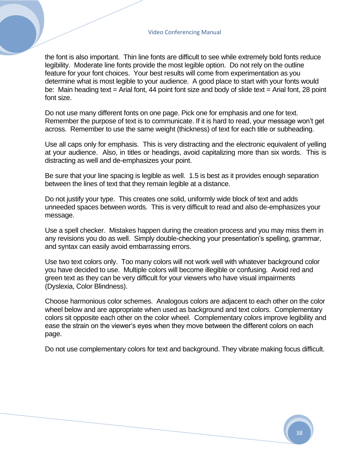the font is also important. Thin line fonts are difficult to see while extremely bold fonts reduce legibility. Moderate line fonts provide the most legible option. Do not rely on the outline feature for your font choices. Your best results will come from experimentation as you determine what is most legible to your audience. A good place to start with your fonts would be: Main heading text = Arial font, 44 point font size and body of slide text = Arial font, 28 point font size.

Do not use many different fonts on one page. Pick one for emphasis and one for text. Remember the purpose of text is to communicate. If it is hard to read, your message won't get across. Remember to use the same weight (thickness) of text for each title or subheading.

Use all caps only for emphasis. This is very distracting and the electronic equivalent of yelling at your audience. Also, in titles or headings, avoid capitalizing more than six words. This is distracting as well and de-emphasizes your point.

Be sure that your line spacing is legible as well. 1.5 is best as it provides enough separation between the lines of text that they remain legible at a distance.

Do not justify your type. This creates one solid, uniformly wide block of text and adds unneeded spaces between words. This is very difficult to read and also de-emphasizes your message.

Use a spell checker. Mistakes happen during the creation process and you may miss them in any revisions you do as well. Simply double-checking your presentation's spelling, grammar, and syntax can easily avoid embarrassing errors.

Use two text colors only. Too many colors will not work well with whatever background color you have decided to use. Multiple colors will become illegible or confusing. Avoid red and green text as they can be very difficult for your viewers who have visual impairments (Dyslexia, Color Blindness).

Choose harmonious color schemes. Analogous colors are adjacent to each other on the color wheel below and are appropriate when used as background and text colors. Complementary colors sit opposite each other on the color wheel. Complementary colors improve legibility and ease the strain on the viewer's eyes when they move between the different colors on each page.

Do not use complementary colors for text and background. They vibrate making focus difficult.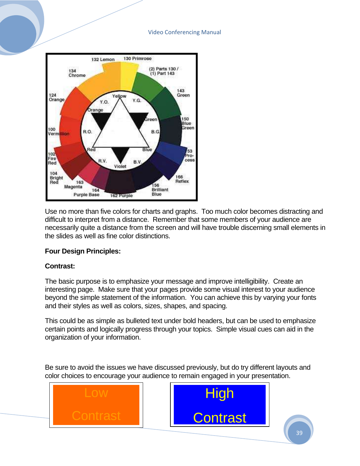

Use no more than five colors for charts and graphs. Too much color becomes distracting and difficult to interpret from a distance. Remember that some members of your audience are necessarily quite a distance from the screen and will have trouble discerning small elements in the slides as well as fine color distinctions.

#### **Four Design Principles:**

#### **Contrast:**

The basic purpose is to emphasize your message and improve intelligibility. Create an interesting page. Make sure that your pages provide some visual interest to your audience beyond the simple statement of the information. You can achieve this by varying your fonts and their styles as well as colors, sizes, shapes, and spacing.

This could be as simple as bulleted text under bold headers, but can be used to emphasize certain points and logically progress through your topics. Simple visual cues can aid in the organization of your information.

Be sure to avoid the issues we have discussed previously, but do try different layouts and color choices to encourage your audience to remain engaged in your presentation.

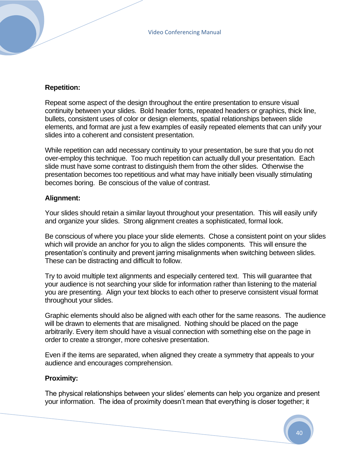#### **Repetition:**

Repeat some aspect of the design throughout the entire presentation to ensure visual continuity between your slides. Bold header fonts, repeated headers or graphics, thick line, bullets, consistent uses of color or design elements, spatial relationships between slide elements, and format are just a few examples of easily repeated elements that can unify your slides into a coherent and consistent presentation.

While repetition can add necessary continuity to your presentation, be sure that you do not over-employ this technique. Too much repetition can actually dull your presentation. Each slide must have some contrast to distinguish them from the other slides. Otherwise the presentation becomes too repetitious and what may have initially been visually stimulating becomes boring. Be conscious of the value of contrast.

#### **Alignment:**

Your slides should retain a similar layout throughout your presentation. This will easily unify and organize your slides. Strong alignment creates a sophisticated, formal look.

Be conscious of where you place your slide elements. Chose a consistent point on your slides which will provide an anchor for you to align the slides components. This will ensure the presentation's continuity and prevent jarring misalignments when switching between slides. These can be distracting and difficult to follow.

Try to avoid multiple text alignments and especially centered text. This will guarantee that your audience is not searching your slide for information rather than listening to the material you are presenting. Align your text blocks to each other to preserve consistent visual format throughout your slides.

Graphic elements should also be aligned with each other for the same reasons. The audience will be drawn to elements that are misaligned. Nothing should be placed on the page arbitrarily. Every item should have a visual connection with something else on the page in order to create a stronger, more cohesive presentation.

Even if the items are separated, when aligned they create a symmetry that appeals to your audience and encourages comprehension.

#### **Proximity:**

The physical relationships between your slides' elements can help you organize and present your information. The idea of proximity doesn't mean that everything is closer together; it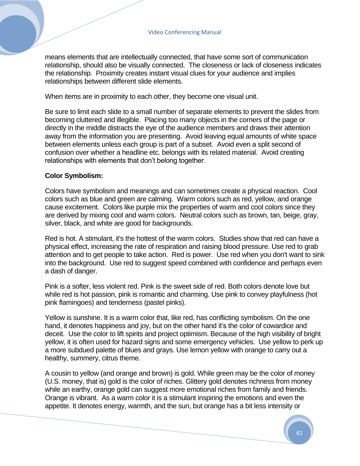means elements that are intellectually connected, that have some sort of communication relationship, should also be visually connected. The closeness or lack of closeness indicates the relationship. Proximity creates instant visual clues for your audience and implies relationships between different slide elements.

When items are in proximity to each other, they become one visual unit.

Be sure to limit each slide to a small number of separate elements to prevent the slides from becoming cluttered and illegible. Placing too many objects in the corners of the page or directly in the middle distracts the eye of the audience members and draws their attention away from the information you are presenting. Avoid leaving equal amounts of white space between elements unless each group is part of a subset. Avoid even a split second of confusion over whether a headline etc. belongs with its related material. Avoid creating relationships with elements that don't belong together.

#### **Color Symbolism:**

Colors have symbolism and meanings and can sometimes create a physical reaction. Cool colors such as blue and green are calming. Warm colors such as red, yellow, and orange cause excitement. Colors like purple mix the properties of warm and cool colors since they are derived by mixing cool and warm colors. Neutral colors such as brown, tan, beige, gray, silver, black, and white are good for backgrounds.

Red is hot. A stimulant, it's the hottest of the warm colors. Studies show that red can have a physical effect, increasing the rate of respiration and raising blood pressure. Use red to grab attention and to get people to take action. Red is power. Use red when you don't want to sink into the background. Use red to suggest speed combined with confidence and perhaps even a dash of danger.

Pink is a softer, less violent red. Pink is the sweet side of red. Both colors denote love but while red is hot passion, pink is romantic and charming. Use pink to convey playfulness (hot pink flamingoes) and tenderness (pastel pinks).

Yellow is sunshine. It is a warm color that, like red, has conflicting symbolism. On the one hand, it denotes happiness and joy, but on the other hand it's the color of cowardice and deceit. Use the color to lift spirits and project optimism. Because of the high visibility of bright yellow, it is often used for hazard signs and some emergency vehicles. Use yellow to perk up a more subdued palette of blues and grays. Use lemon yellow with orange to carry out a healthy, summery, citrus theme.

A cousin to yellow (and orange and brown) is gold. While green may be the color of money (U.S. money, that is) gold is the color of riches. Glittery gold denotes richness from money while an earthy, orange gold can suggest more emotional riches from family and friends. Orange is vibrant. As a warm color it is a stimulant inspiring the emotions and even the appetite. It denotes energy, warmth, and the sun, but orange has a bit less intensity or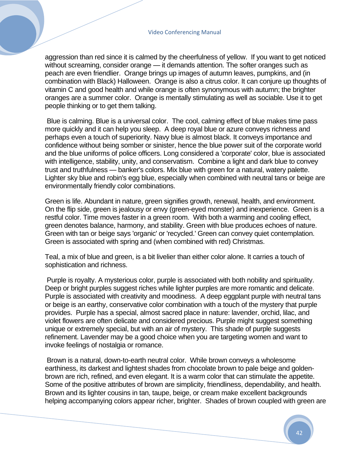aggression than red since it is calmed by the cheerfulness of yellow. If you want to get noticed without screaming, consider orange — it demands attention. The softer oranges such as peach are even friendlier. Orange brings up images of autumn leaves, pumpkins, and (in combination with Black) Halloween. Orange is also a citrus color. It can conjure up thoughts of vitamin C and good health and while orange is often synonymous with autumn; the brighter oranges are a summer color. Orange is mentally stimulating as well as sociable. Use it to get people thinking or to get them talking.

Blue is calming. Blue is a universal color. The cool, calming effect of blue makes time pass more quickly and it can help you sleep. A deep royal blue or azure conveys richness and perhaps even a touch of superiority. Navy blue is almost black. It conveys importance and confidence without being somber or sinister, hence the blue power suit of the corporate world and the blue uniforms of police officers. Long considered a 'corporate' color, blue is associated with intelligence, stability, unity, and conservatism. Combine a light and dark blue to convey trust and truthfulness — banker's colors. Mix blue with green for a natural, watery palette. Lighter sky blue and robin's egg blue, especially when combined with neutral tans or beige are environmentally friendly color combinations.

Green is life. Abundant in nature, green signifies growth, renewal, health, and environment. On the flip side, green is jealousy or envy (green-eyed monster) and inexperience. Green is a restful color. Time moves faster in a green room. With both a warming and cooling effect, green denotes balance, harmony, and stability. Green with blue produces echoes of nature. Green with tan or beige says 'organic' or 'recycled.' Green can convey quiet contemplation. Green is associated with spring and (when combined with red) Christmas.

Teal, a mix of blue and green, is a bit livelier than either color alone. It carries a touch of sophistication and richness.

Purple is royalty. A mysterious color, purple is associated with both nobility and spirituality. Deep or bright purples suggest riches while lighter purples are more romantic and delicate. Purple is associated with creativity and moodiness. A deep eggplant purple with neutral tans or beige is an earthy, conservative color combination with a touch of the mystery that purple provides. Purple has a special, almost sacred place in nature: lavender, orchid, lilac, and violet flowers are often delicate and considered precious. Purple might suggest something unique or extremely special, but with an air of mystery. This shade of purple suggests refinement. Lavender may be a good choice when you are targeting women and want to invoke feelings of nostalgia or romance.

Brown is a natural, down-to-earth neutral color. While brown conveys a wholesome earthiness, its darkest and lightest shades from chocolate brown to pale beige and goldenbrown are rich, refined, and even elegant. It is a warm color that can stimulate the appetite. Some of the positive attributes of brown are simplicity, friendliness, dependability, and health. Brown and its lighter cousins in tan, taupe, beige, or cream make excellent backgrounds helping accompanying colors appear richer, brighter. Shades of brown coupled with green are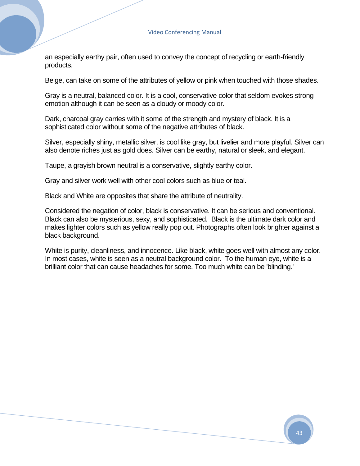an especially earthy pair, often used to convey the concept of recycling or earth-friendly products.

Beige, can take on some of the attributes of yellow or pink when touched with those shades.

Gray is a neutral, balanced color. It is a cool, conservative color that seldom evokes strong emotion although it can be seen as a cloudy or moody color.

Dark, charcoal gray carries with it some of the strength and mystery of black. It is a sophisticated color without some of the negative attributes of black.

Silver, especially shiny, metallic silver, is cool like gray, but livelier and more playful. Silver can also denote riches just as gold does. Silver can be earthy, natural or sleek, and elegant.

Taupe, a grayish brown neutral is a conservative, slightly earthy color.

Gray and silver work well with other cool colors such as blue or teal.

Black and White are opposites that share the attribute of neutrality.

Considered the negation of color, black is conservative. It can be serious and conventional. Black can also be mysterious, sexy, and sophisticated. Black is the ultimate dark color and makes lighter colors such as yellow really pop out. Photographs often look brighter against a black background.

White is purity, cleanliness, and innocence. Like black, white goes well with almost any color. In most cases, white is seen as a neutral background color. To the human eye, white is a brilliant color that can cause headaches for some. Too much white can be 'blinding.'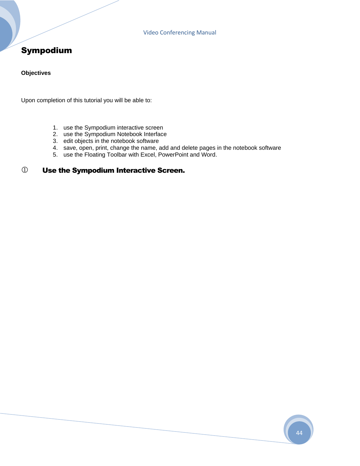### Sympodium

#### **Objectives**

Upon completion of this tutorial you will be able to:

- 1. use the Sympodium interactive screen
- 2. use the Sympodium Notebook Interface
- 3. edit objects in the notebook software
- 4. save, open, print, change the name, add and delete pages in the notebook software
- 5. use the Floating Toolbar with Excel, PowerPoint and Word.

#### Use the Sympodium Interactive Screen.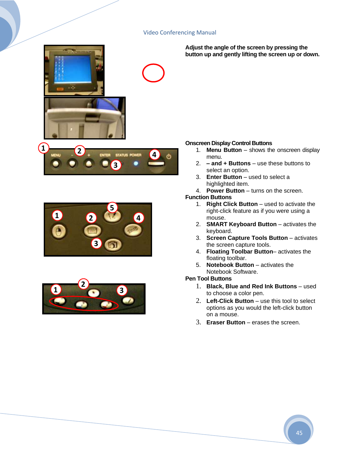





**Adjust the angle of the screen by pressing the button up and gently lifting the screen up or down.**

#### **Onscreen Display Control Buttons**

- 1. **Menu Button** shows the onscreen display menu.
- 2. **– and + Buttons** use these buttons to select an option.
- 3. **Enter Button** used to select a highlighted item.
- 4. **Power Button** turns on the screen.

#### **Function Buttons**

- 1. **Right Click Button** used to activate the right-click feature as if you were using a mouse.
- 2. **SMART Keyboard Button** activates the keyboard.
- 3. **Screen Capture Tools Button** activates the screen capture tools.
- 4. **Floating Toolbar Button** activates the floating toolbar.
- 5. **Notebook Button**  activates the Notebook Software.

#### **Pen Tool Buttons**

- 1. **Black, Blue and Red Ink Buttons** used to choose a color pen.
- 2. **Left-Click Button** use this tool to select options as you would the left-click button on a mouse.
- 3. **Eraser Button** erases the screen.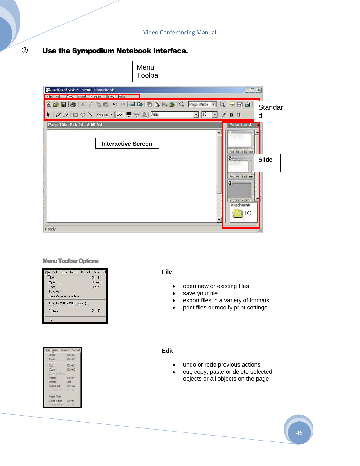#### Use the Sympodium Notebook Interface.





#### Menu Toolbar Options

|         |                            | Edit View Insert Format Draw |                      | $H_6$ |
|---------|----------------------------|------------------------------|----------------------|-------|
| New     |                            |                              | $C$ <sub>trl+N</sub> |       |
| Open    |                            |                              | $CrH + O$            |       |
| Save    |                            |                              | $Ctrl + 5$           |       |
| Save As |                            |                              |                      |       |
|         | Save Page as Template      |                              |                      |       |
|         | Export (PDF, HTML, Images) |                              |                      |       |
| Print   |                            |                              | Ctrl+P               |       |
| Exit    |                            |                              |                      |       |

| Edit John                          | <b>Insert Porn</b> |
|------------------------------------|--------------------|
| Lindo                              | OH+2               |
| <b>Hado</b>                        | Ch48               |
| OR.                                | Ctrl+X             |
| Copy                               | Ctrl+C             |
| Calify<br><b>STILL-FT</b><br>Paste | Chil+V             |
| Delete                             | Del:               |
| Select All                         | CrisA              |
| $\mathbf{u}$                       | <b>STATISTIC</b>   |
| Page Tale                          |                    |
| Clear Page                         |                    |
| Deterni pilosi                     | <b>COLLECT</b>     |

#### **File**

- open new or existing files  $\bullet$
- save your file  $\bullet$
- export files in a variety of formats
- print files or modify print settings

#### **Edit**

- undo or redo previous actions  $\bullet$
- cut, copy, paste or delete selected  $\bullet$ objects or all objects on the page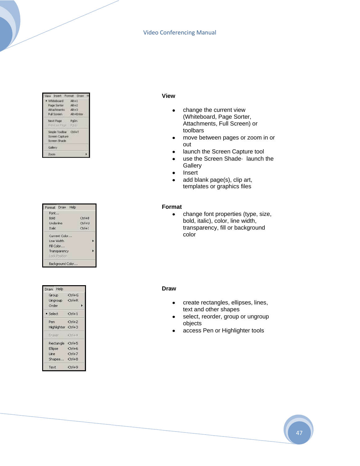| View Insert Format Draw |           |
|-------------------------|-----------|
| · Whiteboard            | 4841      |
| Page Sorter             | AR42      |
| Attachments             | Alt+3     |
| Full Screen             | Alt+Enter |
| Next Page               | PoDn-     |
| President Page - Police |           |
| Simple Toolbar Cb1+T    |           |
| Screen Capture          |           |
| Screen Shade            |           |
| Gallery                 |           |
| Zoom                    |           |

| Format Draw |                  | Help |          |
|-------------|------------------|------|----------|
| Font        |                  |      |          |
| Bold        |                  |      | $Ctr1+B$ |
| Underline   |                  |      | Ctrl+U   |
| Italic      |                  |      | Ctrl+I   |
|             | Current Color    |      |          |
| Line Width  |                  |      |          |
| Fill Color  |                  |      |          |
|             | Transparency     |      |          |
|             | Lock Position    |      |          |
|             | Background Color |      |          |

| Draw Help          |                      |
|--------------------|----------------------|
| Group              | $Ctrl + G$           |
| Ungroup            | $Ctrl + R$           |
| Order              |                      |
| • Select           | $Ctrl+1$             |
| Pen                | $Ctr1+2$             |
| Highlighter Ctrl+3 |                      |
| Eraser             | $Ctr1+4$             |
| Rectangle          | $Ctr$ H <sub>5</sub> |
| <b>Ellipse</b>     | $Ctrl + 6$           |
| Line               | $Ctrl + 7$           |
| Shapes             | $Ctr1+8$             |
| Text               | $Ctr1+9$             |

#### **View**

- change the current view  $\bullet$ (Whiteboard, Page Sorter, Attachments, Full Screen) or toolbars
- move between pages or zoom in or  $\bullet$ out
- launch the Screen Capture tool
- use the Screen Shade· launch the **Gallery**
- Insert  $\bullet$
- add blank page(s), clip art,  $\bullet$ templates or graphics files

#### **Format**

 $\bullet$ change font properties (type, size, bold, italic), color, line width, transparency, fill or background color

#### **Draw**

- create rectangles, ellipses, lines,  $\bullet$ text and other shapes
- select, reorder, group or ungroup objects
- access Pen or Highlighter tools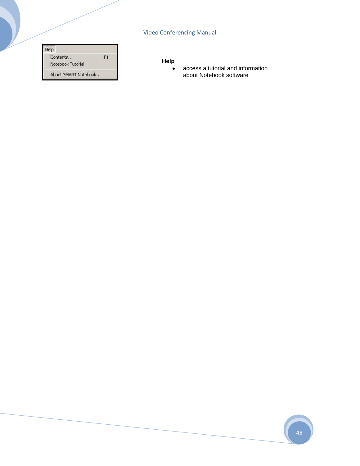| Help                 |    |
|----------------------|----|
| Contents             | F1 |
| Notebook Tutorial    |    |
| About SMART Notebook |    |

#### **Help**

access a tutorial and information  $\bullet$ about Notebook software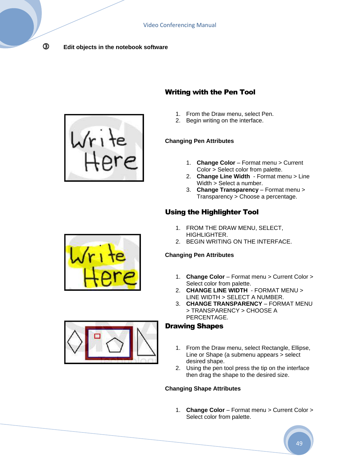#### **Edit objects in the notebook software**



#### Writing with the Pen Tool

- 1. From the Draw menu, select Pen.
- 2. Begin writing on the interface.

#### **Changing Pen Attributes**

- 1. **Change Color** Format menu > Current Color > Select color from palette.
- 2. **Change Line Width**  Format menu > Line Width > Select a number.
- 3. **Change Transparency** Format menu > Transparency > Choose a percentage.

### Using the Highlighter Tool

- 1. FROM THE DRAW MENU, SELECT, HIGHLIGHTER.
- 2. BEGIN WRITING ON THE INTERFACE.

#### **Changing Pen Attributes**

- 1. **Change Color** Format menu > Current Color > Select color from palette.
- 2. **CHANGE LINE WIDTH**  FORMAT MENU > LINE WIDTH > SELECT A NUMBER.
- 3. **CHANGE TRANSPARENCY** FORMAT MENU > TRANSPARENCY > CHOOSE A PERCENTAGE.

#### Drawing Shapes

- 1. From the Draw menu, select Rectangle, Ellipse, Line or Shape (a submenu appears > select desired shape.
- 2. Using the pen tool press the tip on the interface then drag the shape to the desired size.

#### **Changing Shape Attributes**

1. **Change Color** – Format menu > Current Color > Select color from palette.





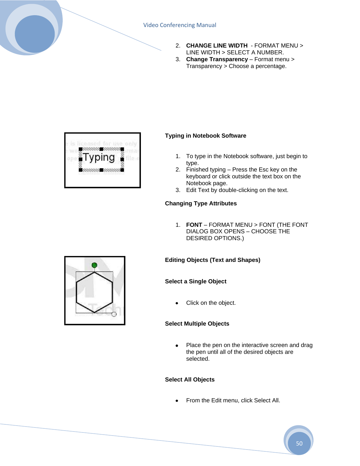

- 2. **CHANGE LINE WIDTH**  FORMAT MENU > LINE WIDTH > SELECT A NUMBER.
- 3. **Change Transparency** Format menu > Transparency > Choose a percentage.



#### **Typing in Notebook Software**

- 1. To type in the Notebook software, just begin to type.
- 2. Finished typing Press the Esc key on the keyboard or click outside the text box on the Notebook page.
- 3. Edit Text by double-clicking on the text.

#### **Changing Type Attributes**

1. **FONT** – FORMAT MENU > FONT (THE FONT DIALOG BOX OPENS – CHOOSE THE DESIRED OPTIONS.)

#### **Editing Objects (Text and Shapes)**

#### **Select a Single Object**

Click on the object.

#### **Select Multiple Objects**

Place the pen on the interactive screen and drag  $\bullet$ the pen until all of the desired objects are selected.

#### **Select All Objects**

From the Edit menu, click Select All.

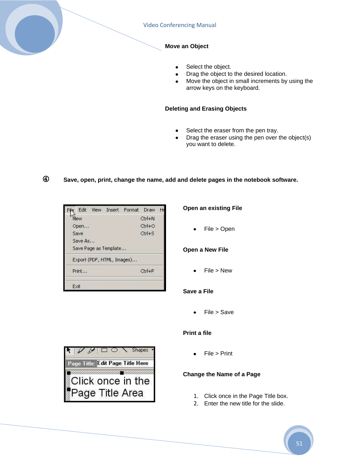

- Select the object.  $\bullet$
- Drag the object to the desired location.
- Move the object in small increments by using the arrow keys on the keyboard.

#### **Deleting and Erasing Objects**

- Select the eraser from the pen tray.
- Drag the eraser using the pen over the object(s)  $\bullet$ you want to delete.

#### **Save, open, print, change the name, add and delete pages in the notebook software.**



#### **Open an existing File**

File > Open

#### **Open a New File**

File > New

#### **Save a File**

File > Save

#### **Print a file**

File > Print

#### **Change the Name of a Page**

- 1. Click once in the Page Title box.
- 2. Enter the new title for the slide.